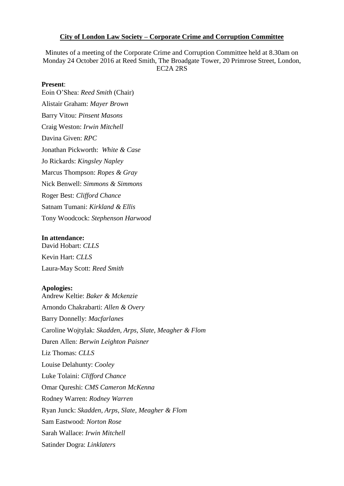#### **City of London Law Society – Corporate Crime and Corruption Committee**

Minutes of a meeting of the Corporate Crime and Corruption Committee held at 8.30am on Monday 24 October 2016 at Reed Smith, The Broadgate Tower, 20 Primrose Street, London, EC2A 2RS

#### **Present**:

Eoin O'Shea: *Reed Smith* (Chair) Alistair Graham: *Mayer Brown* Barry Vitou: *Pinsent Masons* Craig Weston: *Irwin Mitchell* Davina Given: *RPC* Jonathan Pickworth: *White & Case* Jo Rickards: *Kingsley Napley* Marcus Thompson: *Ropes & Gray* Nick Benwell: *Simmons & Simmons* Roger Best: *Clifford Chance* Satnam Tumani: *Kirkland & Ellis* Tony Woodcock: *Stephenson Harwood*

#### **In attendance:**

David Hobart: *CLLS* Kevin Hart: *CLLS* Laura-May Scott: *Reed Smith*

#### **Apologies:**

Andrew Keltie: *Baker & Mckenzie* Arnondo Chakrabarti: *Allen & Overy* Barry Donnelly: *Macfarlanes* Caroline Wojtylak: *Skadden, Arps, Slate, Meagher & Flom* Daren Allen: *Berwin Leighton Paisner* Liz Thomas: *CLLS* Louise Delahunty: *Cooley* Luke Tolaini: *Clifford Chance* Omar Qureshi: *CMS Cameron McKenna* Rodney Warren: *Rodney Warren* Ryan Junck: *Skadden, Arps, Slate, Meagher & Flom* Sam Eastwood: *Norton Rose* Sarah Wallace: *Irwin Mitchell* Satinder Dogra: *Linklaters*